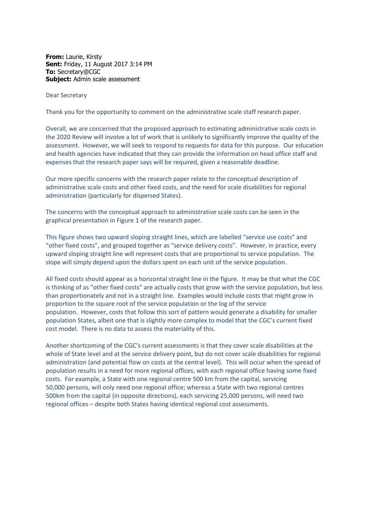**From:** Laurie, Kirsty **Sent:** Friday, 11 August 2017 3:14 PM **To:** Secretary@CGC **Subject:** Admin scale assessment

Dear Secretary

Thank you for the opportunity to comment on the administrative scale staff research paper.

Overall, we are concerned that the proposed approach to estimating administrative scale costs in the 2020 Review will involve a lot of work that is unlikely to significantly improve the quality of the assessment. However, we will seek to respond to requests for data for this purpose. Our education and health agencies have indicated that they can provide the information on head office staff and expenses that the research paper says will be required, given a reasonable deadline.

Our more specific concerns with the research paper relate to the conceptual description of administrative scale costs and other fixed costs, and the need for scale disabilities for regional administration (particularly for dispersed States).

The concerns with the conceptual approach to administrative scale costs can be seen in the graphical presentation in Figure 1 of the research paper.

This figure shows two upward sloping straight lines, which are labelled "service use costs" and "other fixed costs", and grouped together as "service delivery costs". However, in practice, every upward sloping straight line will represent costs that are proportional to service population. The slope will simply depend upon the dollars spent on each unit of the service population.

All fixed costs should appear as a horizontal straight line in the figure. It may be that what the CGC is thinking of as "other fixed costs" are actually costs that grow with the service population, but less than proportionately and not in a straight line. Examples would include costs that might grow in proportion to the square root of the service population or the log of the service population. However, costs that follow this sort of pattern would generate a disability for smaller population States, albeit one that is slightly more complex to model that the CGC's current fixed cost model. There is no data to assess the materiality of this.

Another shortcoming of the CGC's current assessments is that they cover scale disabilities at the whole of State level and at the service delivery point, but do not cover scale disabilities for regional administration (and potential flow on costs at the central level). This will occur when the spread of population results in a need for more regional offices, with each regional office having some fixed costs. For example, a State with one regional centre 500 km from the capital, servicing 50,000 persons, will only need one regional office; whereas a State with two regional centres 500km from the capital (in opposite directions), each servicing 25,000 persons, will need two regional offices – despite both States having identical regional cost assessments.